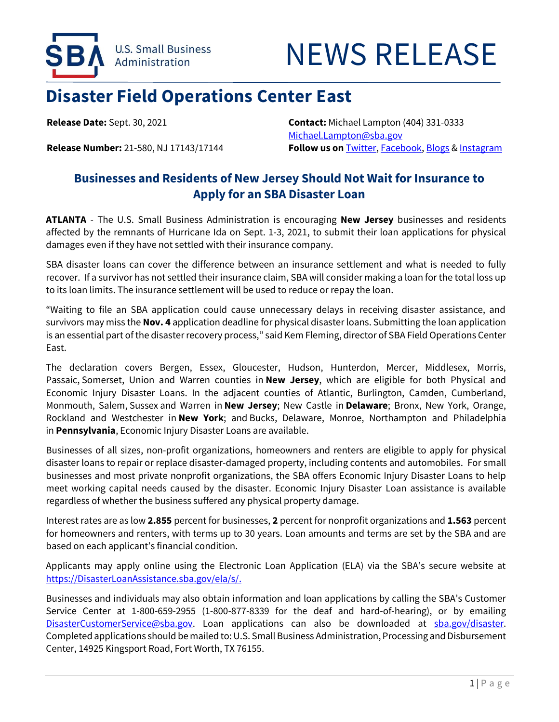

## NEWS RELEASE

## **Disaster Field Operations Center East**

**Release Date:** Sept. 30, 2021 **Contact:** Michael Lampton (404) 331-0333 [Michael.Lampton@sba.gov](mailto:Michael.Lampton@sba.gov) **Release Number:** 21-580, NJ 17143/17144 **Follow us on** [Twitter,](http://www.twitter.com/SBAgov) [Facebook,](http://www.facebook.com/sbagov) [Blogs](http://www.sba.gov/blogs) [& Instagram](https://www.instagram.com/sbagov/)

## **Businesses and Residents of New Jersey Should Not Wait for Insurance to Apply for an SBA Disaster Loan**

**ATLANTA** - The U.S. Small Business Administration is encouraging **New Jersey** businesses and residents affected by the remnants of Hurricane Ida on Sept. 1-3, 2021, to submit their loan applications for physical damages even if they have not settled with their insurance company.

SBA disaster loans can cover the difference between an insurance settlement and what is needed to fully recover. If a survivor has not settled their insurance claim, SBA will consider making a loan for the total loss up to its loan limits. The insurance settlement will be used to reduce or repay the loan.

"Waiting to file an SBA application could cause unnecessary delays in receiving disaster assistance, and survivors may miss the **Nov. 4** application deadline for physical disaster loans. Submitting the loan application is an essential part of the disaster recovery process," said Kem Fleming, director of SBA Field Operations Center East.

The declaration covers Bergen, Essex, Gloucester, Hudson, Hunterdon, Mercer, Middlesex, Morris, Passaic, Somerset, Union and Warren counties in **New Jersey**, which are eligible for both Physical and Economic Injury Disaster Loans. In the adjacent counties of Atlantic, Burlington, Camden, Cumberland, Monmouth, Salem, Sussex and Warren in **New Jersey**; New Castle in **Delaware**; Bronx, New York, Orange, Rockland and Westchester in **New York**; and Bucks, Delaware, Monroe, Northampton and Philadelphia in **Pennsylvania**, Economic Injury Disaster Loans are available.

Businesses of all sizes, non-profit organizations, homeowners and renters are eligible to apply for physical disaster loans to repair or replace disaster-damaged property, including contents and automobiles. For small businesses and most private nonprofit organizations, the SBA offers Economic Injury Disaster Loans to help meet working capital needs caused by the disaster. Economic Injury Disaster Loan assistance is available regardless of whether the business suffered any physical property damage.

Interest rates are as low **2.855** percent for businesses, **2** percent for nonprofit organizations and **1.563** percent for homeowners and renters, with terms up to 30 years. Loan amounts and terms are set by the SBA and are based on each applicant's financial condition.

Applicants may apply online using the Electronic Loan Application (ELA) via the SBA's secure website at [https://DisasterLoanAssistance.sba.gov/ela/s/.](https://disasterloanassistance.sba.gov/ela/s)

Businesses and individuals may also obtain information and loan applications by calling the SBA's Customer Service Center at 1-800-659-2955 (1-800-877-8339 for the deaf and hard-of-hearing), or by emailing [DisasterCustomerService@sba.gov.](mailto:DisasterCustomerService@sba.gov) Loan applications can also be downloaded at [sba.gov/disaster.](https://disasterloanassistance.sba.gov/ela/s/article/Paper-Forms) Completed applications should be mailed to: U.S. Small Business Administration, Processing and Disbursement Center, 14925 Kingsport Road, Fort Worth, TX 76155.